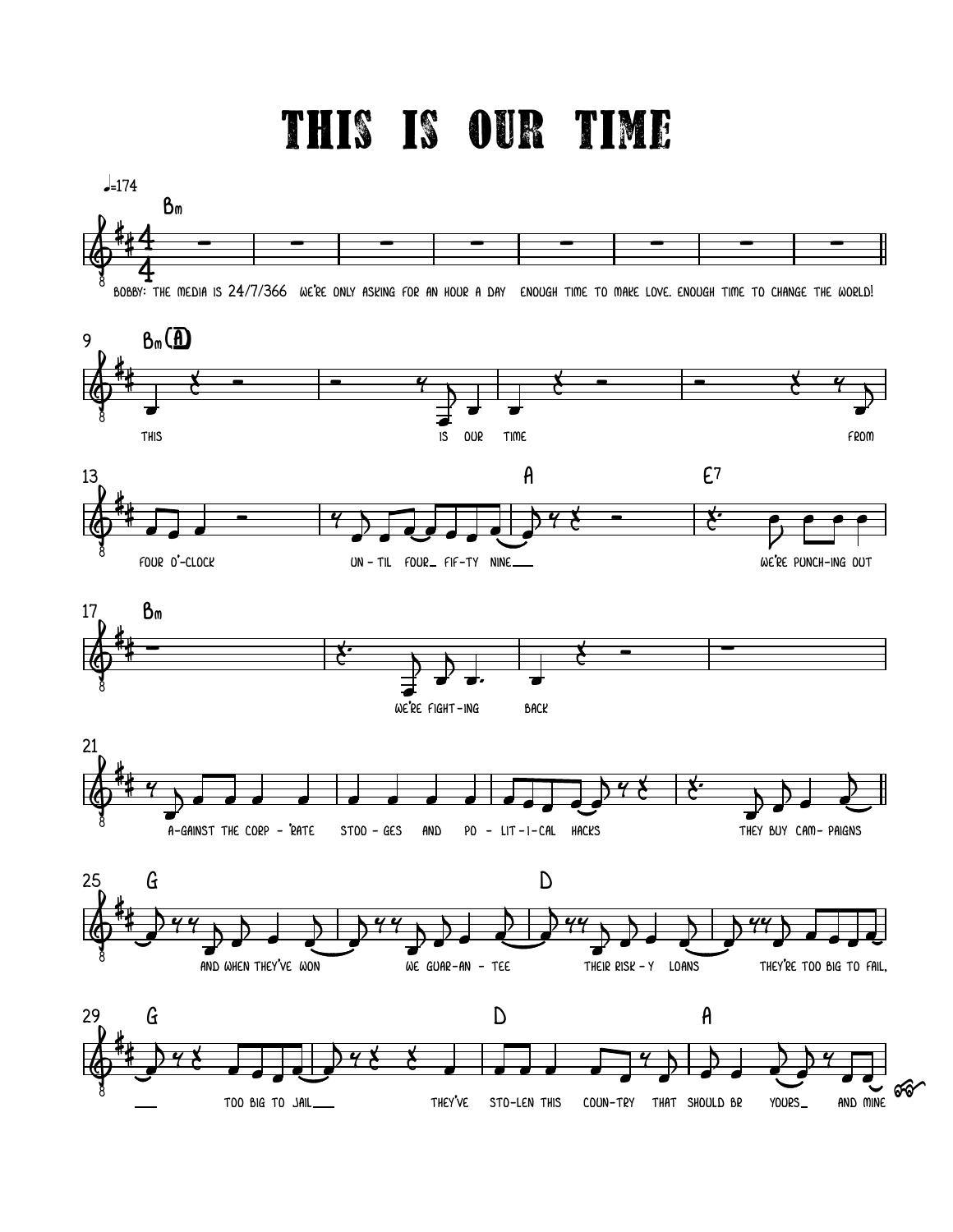## THIS IS OUR TIME

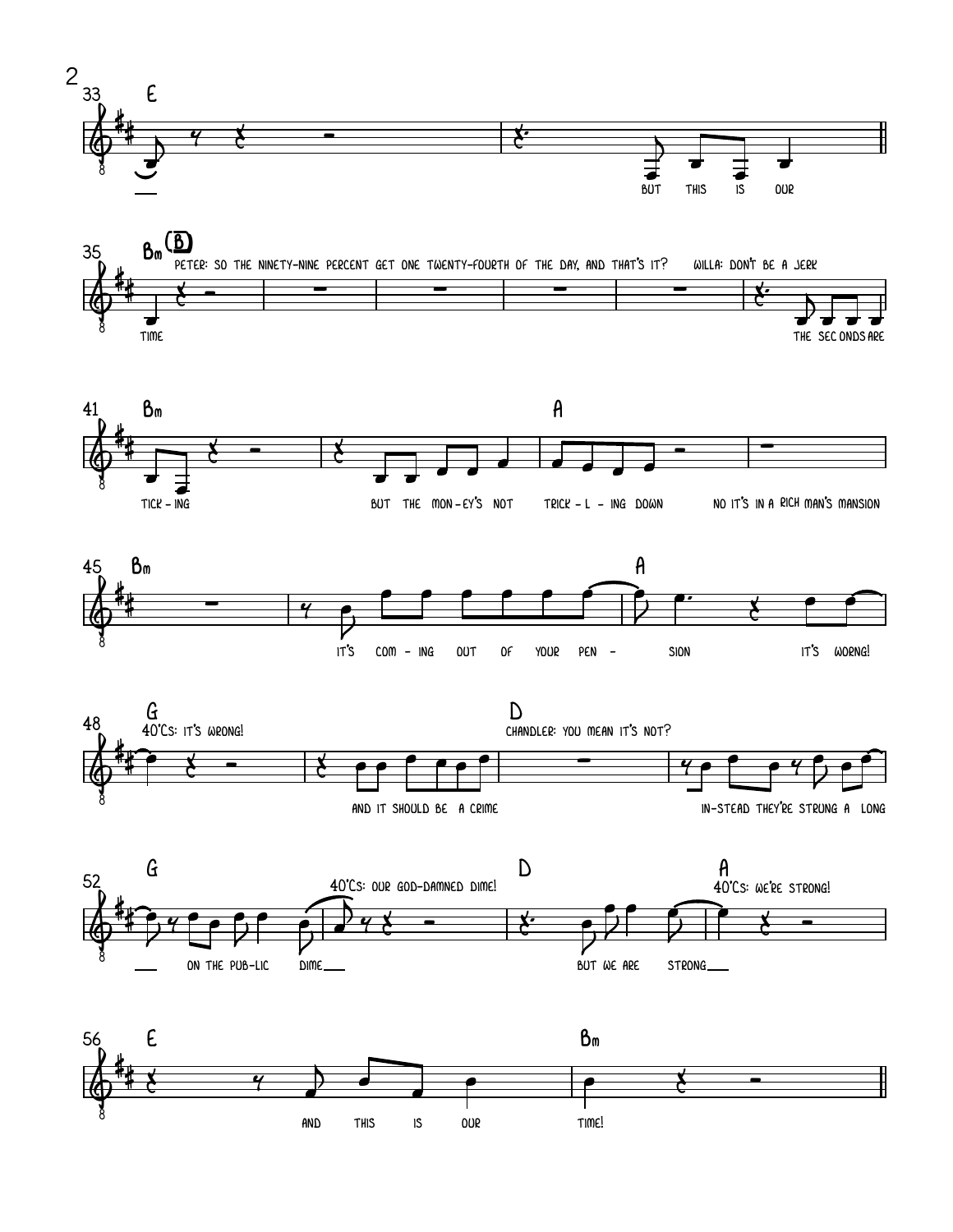